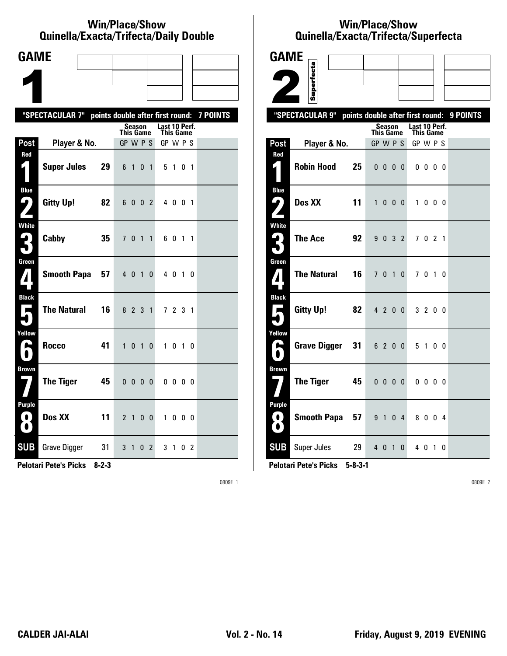#### **Win/Place/Show Qui nel la/Exacta/Tri fecta/Daily Dou ble**

| <b>GAME</b>                       |                                                           |                                     |                |                            |                |  |
|-----------------------------------|-----------------------------------------------------------|-------------------------------------|----------------|----------------------------|----------------|--|
|                                   |                                                           |                                     |                |                            |                |  |
|                                   |                                                           |                                     |                |                            |                |  |
|                                   | "SPECTACULAR 7" points double after first round: 7 POINTS |                                     |                |                            |                |  |
|                                   |                                                           | <b>Season</b><br>This Game          |                | Last 10 Perf.<br>This Game |                |  |
| Post                              | Player & No.                                              | GP W P S                            |                | GP W P S                   |                |  |
| Red<br>$\vert \vert$              | <b>Super Jules</b><br>29                                  | $6$ 1 0                             | $\overline{1}$ | 5 1 0 1                    |                |  |
| <b>Blue</b><br>7<br>$\mathbf{Z}$  | <b>Gitty Up!</b><br>82                                    | 6 0 0 2                             |                | 4 0 0 1                    |                |  |
| White<br>3                        | Cabby<br>35                                               | 7 <sub>0</sub><br>$1\quad1$         |                | 6 0 1 1                    |                |  |
| Green<br>$\mathbf{Z}$             | <b>Smooth Papa</b><br>57                                  | 4 0 1 0                             |                | 4 0 1 0                    |                |  |
| <b>Black</b><br>$\blacksquare$    | <b>The Natural</b><br>16                                  | 8 2 3 1                             |                | 7 2 3 1                    |                |  |
| Yellow<br>$\blacktriangleright$   | <b>Rocco</b><br>41                                        | $\mathbf{1}$<br>0<br>$\overline{1}$ | $\mathbf{0}$   | $\mathbf{1}$               | $01$ 0         |  |
| <b>Brown</b>                      | <b>The Tiger</b><br>45                                    | $0\quad 0\quad 0\quad 0$            |                | $0\,0\,0\,0$               |                |  |
| <b>Purple</b><br>$\bullet$ .<br>O | Dos XX<br>11                                              | 2 1 0 0                             |                | 1000                       |                |  |
| <b>SUB</b>                        | <b>Grave Digger</b><br>31                                 | 3 <sub>1</sub><br>0                 | 2              | 31                         | 0 <sub>2</sub> |  |

**Pelotari Pete's Picks 8-2-3**

0809E 1

# **Win/Place/Show Qui nel la/Exacta/Tri fecta/Super fecta**

| <b>GAME</b>                              |                                                  |    |                              |                          |                   |              |                       |                          |                   |                |          |
|------------------------------------------|--------------------------------------------------|----|------------------------------|--------------------------|-------------------|--------------|-----------------------|--------------------------|-------------------|----------------|----------|
|                                          | Superfecta                                       |    |                              |                          |                   |              |                       |                          |                   |                |          |
|                                          |                                                  |    |                              |                          |                   |              |                       |                          |                   |                |          |
|                                          |                                                  |    |                              |                          |                   |              |                       |                          |                   |                |          |
|                                          | "SPECTACULAR 9" points double after first round: |    |                              | Season                   |                   |              | Last 10 Perf.         |                          |                   |                | 9 POINTS |
| Post                                     | Player & No.                                     |    | <b>This Game</b><br>GP W P S |                          |                   |              | This Game<br>GP W P S |                          |                   |                |          |
| Red                                      |                                                  |    |                              |                          |                   |              |                       |                          |                   |                |          |
|                                          | <b>Robin Hood</b>                                | 25 |                              | $0\quad 0\quad 0\quad 0$ |                   |              |                       | $0\,0\,0\,0$             |                   |                |          |
| <b>Blue</b><br>ر ما                      | Dos XX                                           | 11 | $\mathbf{1}$                 |                          | $0\quad 0\quad 0$ |              | $\mathbf{1}$          |                          | $0\quad 0\quad 0$ |                |          |
| <b>White</b><br>$\mathbf{L}_{\parallel}$ | <b>The Ace</b>                                   | 92 |                              | 9 0 3 2                  |                   |              |                       | 7 0 2 1                  |                   |                |          |
| Green<br>$\mathbf{Z}$                    | <b>The Natural</b>                               | 16 | 7 <sup>7</sup>               |                          | 0 <sub>1</sub>    | 0            |                       | 7010                     |                   |                |          |
| <b>Black</b><br>Е                        | <b>Gitty Up!</b>                                 | 82 |                              | 4 2 0 0                  |                   |              |                       | 3 2 0 0                  |                   |                |          |
| Yellow<br>بم                             | <b>Grave Digger</b>                              | 31 |                              | 6 2 0 0                  |                   |              |                       | 51                       |                   | 0 <sub>0</sub> |          |
| <b>Brown</b>                             | <b>The Tiger</b>                                 | 45 |                              | 0000                     |                   |              |                       | $0\quad 0\quad 0\quad 0$ |                   |                |          |
| Purple<br>0<br>$\bullet$                 | <b>Smooth Papa</b>                               | 57 |                              | 9 1 0 4                  |                   |              |                       | 8004                     |                   |                |          |
| <b>SUB</b>                               | Super Jules                                      | 29 |                              | 4 0 1                    |                   | $\mathbf{0}$ |                       | 4 0 1 0                  |                   |                |          |

**Pelotari Pete's Picks 5-8-3-1**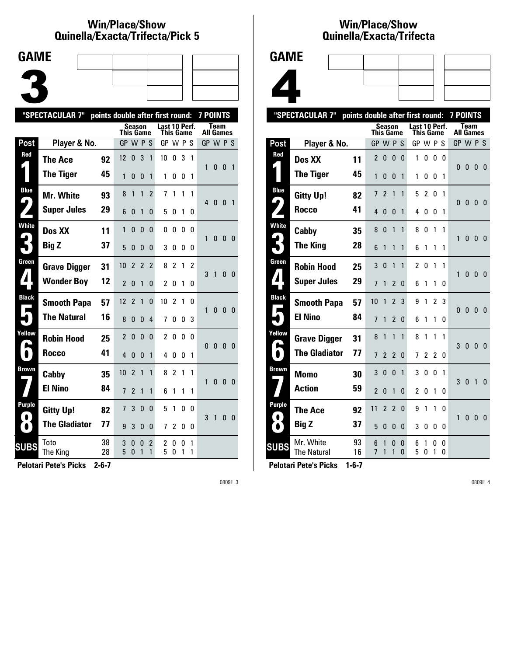#### **Win/Place/Show Qui nel la/Exacta/Tri fecta/Pick 5**



|              | "SPECTACULAR 7"      | points double after first round: |                |                |                |                |                            |                |        |        | <b>7 POINTS</b>  |              |                |                         |
|--------------|----------------------|----------------------------------|----------------|----------------|----------------|----------------|----------------------------|----------------|--------|--------|------------------|--------------|----------------|-------------------------|
|              |                      |                                  | This Game      | <b>Season</b>  |                |                | Last 10 Perf.<br>This Game |                |        |        | <b>All Games</b> | <b>Team</b>  |                |                         |
| Post         | Player & No.         |                                  | GP W P S       |                |                |                | GP W P S                   |                |        |        | GP W P S         |              |                |                         |
| Red          | <b>The Ace</b>       | 92                               | 12             | 0              | 3              | 1              | 10                         | 0              | 3      | 1      | 1                | $\mathbf{0}$ | $\overline{0}$ | $\overline{1}$          |
|              | <b>The Tiger</b>     | 45                               | 1              | 0              | $\mathbf{0}$   | 1              | 1                          | 0              | 0      | 1      |                  |              |                |                         |
| <b>Blue</b>  | Mr. White            | 93                               | 8              | 1              | 1              | $\overline{2}$ | 7                          | 1              | 1      | 1      |                  |              |                |                         |
| ◢            | <b>Super Jules</b>   | 29                               | 6              | 0              | 1              | 0              | 5                          | 0              | 1      | 0      | 4                | - 0          | 0 <sub>1</sub> |                         |
| White        | Dos XX               | 11                               | 1              | $\mathbf{0}$   | 0              | 0              | 0                          | 0              | 0      | 0      | 1                | 0            | 0 <sub>0</sub> |                         |
|              | <b>Big Z</b>         | 37                               | 5              | 0              | $\mathbf{0}$   | 0              | 3                          | 0              | 0      | 0      |                  |              |                |                         |
| Green        | <b>Grave Digger</b>  | 31                               | 10             | $\overline{2}$ | $\overline{2}$ | $\overline{2}$ | 8                          | $\overline{2}$ | 1      | 2      | 3                | $\mathbf{1}$ | $\mathbf{0}$   | - 0                     |
|              | <b>Wonder Boy</b>    | 12                               | $\mathfrak{p}$ | $\Omega$       | 1              | 0              | 2                          | 0              | 1      | 0      |                  |              |                |                         |
| <b>Black</b> | <b>Smooth Papa</b>   | 57                               | 12             | $\overline{2}$ | 1              | 0              | 10                         | $\overline{2}$ | 1      | 0      | 1                | $\mathbf{0}$ | $\mathbf{0}$   | $\overline{\mathbf{0}}$ |
|              | <b>The Natural</b>   | 16                               | 8              | 0              | $\mathbf{0}$   | 4              | 7                          | 0              | 0      | 3      |                  |              |                |                         |
| Yellow       | <b>Robin Hood</b>    | 25                               | $\overline{2}$ | 0              | 0              | 0              | 2                          | 0              | 0      | 0      | $\Omega$         | $\mathbf{0}$ | $\mathbf{0}$   | 0                       |
| $\bullet$    | Rocco                | 41                               | $\overline{4}$ | $\mathbf{0}$   | 0              | 1              | 4                          | 0              | 0      | 1      |                  |              |                |                         |
| Brown        | Cabby                | 35                               | 10             | $\overline{2}$ | $\mathbf{1}$   | 1              | 8                          | $\overline{2}$ | 1      | 1      | 1                | $\mathbf{0}$ | $\mathbf{0}$   | $\overline{0}$          |
|              | <b>El Nino</b>       | 84                               | $\overline{7}$ | 2              | 1              | 1              | 6                          | 1              | 1      | 1      |                  |              |                |                         |
| Purple       | <b>Gitty Up!</b>     | 82                               | 7              | 3              | $\mathbf{0}$   | $\mathbf{0}$   | 5                          | 1              | 0      | 0      | 3                | $\mathbf{1}$ | 0              | $\overline{\mathbf{0}}$ |
| $\bullet$    | <b>The Gladiator</b> | 77                               | 9              | 3              | 0              | 0              | 7                          | 2              | 0      | 0      |                  |              |                |                         |
| <b>SUBS</b>  | Toto<br>The King     | 38<br>28                         | 3<br>5         | 0<br>$\Omega$  | 0<br>1         | 2<br>1         | 2<br>5                     | 0<br>0         | 0<br>1 | 1<br>1 |                  |              |                |                         |
|              |                      |                                  |                |                |                |                |                            |                |        |        |                  |              |                |                         |

**Pelotari Pete's Picks 2-6-7**

0809E 3

#### **Win/Place/Show Qui nel la/Exacta/Tri fecta**



|                          | "SPECTACULAR 7"                 | points double after first round: |                |                |                          |          |                |                |                |        | <b>7 POINTS</b> |                   |                |                |
|--------------------------|---------------------------------|----------------------------------|----------------|----------------|--------------------------|----------|----------------|----------------|----------------|--------|-----------------|-------------------|----------------|----------------|
|                          |                                 |                                  | This Game      | Season         |                          |          | Last 10 Perf.  | This Game      |                |        |                 | Team<br>All Games |                |                |
| Post                     | Player & No.                    |                                  | GP W P S       |                |                          |          | GP W P S       |                |                |        |                 | GP W P S          |                |                |
| Red                      | Dos XX                          | 11                               | $\overline{2}$ | 0              | 0                        | $\Omega$ | 1              | 0              | 0              | 0      | 0               | 0                 | $\mathbf{0}$   | 0              |
|                          | <b>The Tiger</b>                | 45                               | 1              | 0              | 0                        | 1        | 1              | 0              | 0              | 1      |                 |                   |                |                |
| <b>Blue</b><br>$\bullet$ | <b>Gitty Up!</b>                | 82                               | 7              | $\overline{2}$ | $\mathbf{1}$             | 1        | 5              | 2              | 0              | 1      | 0               | 0                 | $\mathbf{0}$   | $\overline{0}$ |
|                          | <b>Rocco</b>                    | 41                               | 4              | 0              | 0                        | 1        | 4              | 0              | 0              | 1      |                 |                   |                |                |
| White<br>ها              | Cabby                           | 35                               | 8              | 0              | 1                        | 1        | 8              | 0              | 1              | 1      | 1               | 0                 | $\mathbf{0}$   | 0              |
|                          | The King                        | 28                               | 6              | 1              | 1                        | 1        | 6              | 1              | 1              | 1      |                 |                   |                |                |
| Green                    | <b>Robin Hood</b>               | 25                               | 3              | 0              | 1                        | 1        | $\overline{c}$ | 0              | 1              | 1      | 1               | $\mathbf{0}$      | $\mathbf{0}$   | - 0            |
| $\mathbf{I}$             | <b>Super Jules</b>              | 29                               | 7              | 1              | 2                        | 0        | 6              | 1              | 1              | 0      |                 |                   |                |                |
| <b>Black</b><br>E        | <b>Smooth Papa</b>              | 57                               | 10             | 1              | $\overline{\phantom{a}}$ | 3        | 9              | 1              | 2              | 3      | $\Omega$        | $\mathbf{0}$      | $\overline{0}$ | - 0            |
|                          | <b>El Nino</b>                  | 84                               | 7              | 1              | $\mathfrak{p}$           | 0        | 6              | 1              | 1              | 0      |                 |                   |                |                |
| Yellow                   | <b>Grave Digger</b>             | 31                               | 8              | 1              | 1                        | 1        | 8              | 1              | 1              | 1      | 3               | 0                 | $\mathbf{0}$   | 0              |
|                          | <b>The Gladiator</b>            | 77                               | 7              | $\overline{2}$ | $\overline{2}$           | 0        | 7              | $\overline{c}$ | $\overline{2}$ | 0      |                 |                   |                |                |
| <b>Brown</b>             | Momo                            | 30                               | 3              | $\mathbf{0}$   | $\mathbf{0}$             | 1        | 3              | 0              | $\mathbf{0}$   | 1      | 3               | $\mathbf{0}$      | $\mathbf{1}$   | $\Omega$       |
|                          | <b>Action</b>                   | 59                               | $\overline{2}$ | 0              | 1                        | 0        | 2              | 0              | 1              | 0      |                 |                   |                |                |
| Purple                   | The Ace                         | 92                               | 11             | $\overline{2}$ | $\overline{2}$           | 0        | 9              | 1              | 1              | 0      | 1               | 0                 | $\mathbf{0}$   | 0              |
| $\bullet$                | <b>Big Z</b>                    | 37                               | 5              | 0              | 0                        | 0        | 3              | 0              | 0              | 0      |                 |                   |                |                |
| <b>SUBS</b>              | Mr. White<br><b>The Natural</b> | 93<br>16                         | 6<br>7         | 1<br>1         | $\Omega$<br>1            | 0<br>0   | 6<br>5         | 1<br>0         | 0<br>1         | 0<br>0 |                 |                   |                |                |
|                          |                                 |                                  |                |                |                          |          |                |                |                |        |                 |                   |                |                |

**Pelotari Pete's Picks 1-6-7**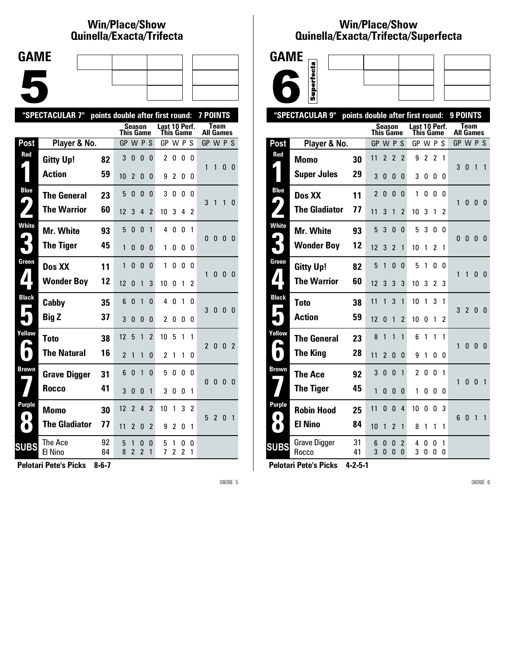# **Win/Place/Show Qui nel la/Exacta/Tri fecta**

| <b>GAME</b> |  |  |
|-------------|--|--|
|             |  |  |
|             |  |  |
|             |  |  |
|             |  |  |
|             |  |  |
|             |  |  |

|                                      | "SPECTACULAR 7"      | points double after first round: |                  |                               |                     |                |                                   |                     |                     |                | <b>7 POINTS</b>  |                |                |                         |
|--------------------------------------|----------------------|----------------------------------|------------------|-------------------------------|---------------------|----------------|-----------------------------------|---------------------|---------------------|----------------|------------------|----------------|----------------|-------------------------|
|                                      |                      |                                  | <b>This Game</b> |                               | Season              |                | Last 10 Perf.<br><b>This Game</b> |                     |                     |                | <b>All Games</b> | Team           |                |                         |
| Post                                 | Player & No.         |                                  | GP W P S         |                               |                     |                | GP W P S                          |                     |                     |                | GP W P S         |                |                |                         |
| Red                                  | <b>Gitty Up!</b>     | 82                               | 3                | 0                             | 0                   | $\Omega$       | $\overline{2}$                    | 0                   | 0                   | 0              | 1                | 1              | $0\quad 0$     |                         |
|                                      | <b>Action</b>        | 59                               | 10               | 2                             | $\mathbf{0}$        | 0              | 9                                 | 2                   | 0                   | 0              |                  |                |                |                         |
| <b>Blue</b><br>$\blacktriangleright$ | <b>The General</b>   | 23                               | 5                | 0                             | 0                   | 0              | 3                                 | 0                   | 0                   | 0              | 3                | 1              | 1              | 0                       |
|                                      | <b>The Warrior</b>   | 60                               | 12               | 3                             | 4                   | 2              | 10                                | 3                   | 4                   | 2              |                  |                |                |                         |
| <b>White</b>                         | <b>Mr. White</b>     | 93                               | 5                | 0                             | 0                   | 1              | 4                                 | 0                   | 0                   | 1              | 0                | $\bf{0}$       | 0              | - 0                     |
|                                      | <b>The Tiger</b>     | 45                               | 1                | 0                             | 0                   | 0              | 1                                 | 0                   | 0                   | 0              |                  |                |                |                         |
| Green                                | Dos XX               | 11                               | 1                | $\Omega$                      | $\mathbf{0}$        | $\Omega$       | 1                                 | $\mathbf{0}$        | 0                   | $\Omega$       | 1                | 0              | $\mathbf{0}$   | - 0                     |
|                                      | <b>Wonder Boy</b>    | 12                               | 12               | $\Omega$                      | 1                   | 3              | 10                                | 0                   | 1                   | 2              |                  |                |                |                         |
| <b>Black</b>                         | Cabby                | 35                               | 6                | 0                             | $\mathbf{1}$        | 0              | 4                                 | 0                   | 1                   | 0              | 3                | $\mathbf{0}$   | $\mathbf{0}$   | $\overline{\mathbf{0}}$ |
|                                      | <b>Big Z</b>         | 37                               | 3                | 0                             | $\mathbf{0}$        | 0              | $\overline{c}$                    | 0                   | 0                   | 0              |                  |                |                |                         |
| Yellow                               | <b>Toto</b>          | 38                               | 12               | 5                             | 1                   | $\overline{2}$ | 10                                | 5                   | 1                   | 1              | $\overline{2}$   | $\mathbf{0}$   | 0 <sub>2</sub> |                         |
| $\bullet$                            | <b>The Natural</b>   | 16                               | $\overline{2}$   | 1                             | 1                   | 0              | $\overline{2}$                    | 1                   | 1                   | 0              |                  |                |                |                         |
| Brown                                | <b>Grave Digger</b>  | 31                               | 6                | 0                             | 1                   | 0              | 5                                 | 0                   | 0                   | 0              | $\Omega$         | $\mathbf{0}$   | $\mathbf{0}$   | - 0                     |
|                                      | Rocco                | 41                               | 3                | $\Omega$                      | 0                   | 1              | 3                                 | 0                   | 0                   | 1              |                  |                |                |                         |
| Purple                               | Momo                 | 30                               | 12               | $\overline{2}$                | 4                   | $\overline{2}$ | 10                                | 1                   | 3                   | $\overline{2}$ | 5                | $\overline{2}$ | $\mathbf{0}$   | $\overline{1}$          |
| $\bullet$                            | <b>The Gladiator</b> | 77                               | 11               | 2                             | 0                   | 2              | 9                                 | $\overline{2}$      | 0                   | 1              |                  |                |                |                         |
| <b>SUBS</b>                          | The Ace<br>El Nino   | 92<br>84                         | 5<br>8           | 1<br>$\overline{\mathcal{C}}$ | 0<br>$\overline{2}$ | 0<br>1         | 5<br>7                            | 1<br>$\overline{c}$ | 0<br>$\overline{c}$ | 0<br>1         |                  |                |                |                         |
|                                      |                      |                                  |                  |                               |                     |                |                                   |                     |                     |                |                  |                |                |                         |

**Pelotari Pete's Picks 8-6-7**

0809E 5

## **Win/Place/Show Qui nel la/Exacta/Tri fecta/Super fecta**



|                            | "SPECTACULAR 9"       | points double after first round: |                  |              |                |                     |                |                |                |                | 9 POINTS |                          |                |                |
|----------------------------|-----------------------|----------------------------------|------------------|--------------|----------------|---------------------|----------------|----------------|----------------|----------------|----------|--------------------------|----------------|----------------|
|                            |                       |                                  | <b>This Game</b> | Season       |                |                     | Last 10 Perf.  | This Game      |                |                |          | Team<br><b>All Games</b> |                |                |
| Post                       | Player & No.          |                                  | GP W P S         |              |                |                     | GP W P S       |                |                |                | GP W P S |                          |                |                |
| Red                        | Momo                  | 30                               | 11               | 2            | 2              | $\overline{2}$      | 9              | $\overline{c}$ | $\overline{2}$ | 1              |          |                          |                |                |
|                            | <b>Super Jules</b>    | 29                               | 3                | $\mathbf{0}$ | $\Omega$       | 0                   | 3              | 0              | 0              | 0              | 3        | $\mathbf{0}$             | $\overline{1}$ | 1              |
| <b>Blue</b>                | Dos XX                | 11                               | $\overline{2}$   | $\mathbf{0}$ | $\mathbf{0}$   | $\mathbf{0}$        | 1              | 0              | 0              | 0              |          |                          |                |                |
| 4                          | <b>The Gladiator</b>  | 77                               | 11               | 3            | 1              | $\mathfrak{p}$      | 10             | 3              | 1              | 2              | 1        | 0                        | $\mathbf{0}$   | - 0            |
| <b>White</b>               | <b>Mr. White</b>      | 93                               | 5                | 3            | $\Omega$       | $\mathbf{0}$        | 5              | 3              | 0              | 0              | $\Omega$ | $\mathbf{0}$             | 0              | - 0            |
| 2                          | <b>Wonder Boy</b>     | 12                               | 12               | 3            | $\overline{2}$ | 1                   | 10             | 1              | 2              | 1              |          |                          |                |                |
| Green                      | <b>Gitty Up!</b>      | 82                               | 5                | 1            | $\Omega$       | $\mathbf{0}$        | 5              | 1              | 0              | 0              | 1        | $\mathbf{1}$             | $\mathbf{0}$   | $\overline{0}$ |
| $\mathbf I$                | <b>The Warrior</b>    | 60                               | 12               | 3            | 3              | 3                   | 10             | 3              | $\overline{2}$ | 3              |          |                          |                |                |
| <b>Black</b>               | Toto                  | 38                               | 11               | 1            | 3              | 1                   | 10             | 1              | 3              | 1              |          | 320                      |                | $\overline{0}$ |
|                            | <b>Action</b>         | 59                               | 12               | 0            | 1              | $\overline{2}$      | 10             | 0              | 1              | $\overline{2}$ |          |                          |                |                |
| Yellow                     | <b>The General</b>    | 23                               | 8                | 1            | 1              | 1                   | 6              | 1              | 1              | 1              | 1        | 0                        | $\mathbf{0}$   | $\mathbf{0}$   |
|                            | <b>The King</b>       | 28                               | 11               | 2            | 0              | 0                   | 9              | 1              | 0              | 0              |          |                          |                |                |
| Brown                      | <b>The Ace</b>        | 92                               | 3                | $\mathbf{0}$ | $\mathbf{0}$   | $\mathbf{1}$        | $\overline{c}$ | 0              | 0              | 1              | 1        | 0                        | 0              | $\overline{1}$ |
|                            | <b>The Tiger</b>      | 45                               | 1                | 0            | $\mathbf{0}$   | 0                   | 1              | 0              | 0              | 0              |          |                          |                |                |
| <b>Purple</b><br>$\bullet$ | <b>Robin Hood</b>     | 25                               | 11               | $\mathbf{0}$ | $\mathbf{0}$   | $\overline{4}$      | 10             | 0              | $\Omega$       | 3              | 6        | $\bf{0}$                 | $\overline{1}$ | $\overline{1}$ |
| $\bullet$                  | <b>El Nino</b>        | 84                               | 10               | 1            | $\overline{2}$ | 1                   | 8              | 1              | 1              | 1              |          |                          |                |                |
| <b>SUBS</b>                | Grave Digger<br>Rocco | 31<br>41                         | 6<br>3           | 0<br>0       | 0<br>$\Omega$  | $\overline{c}$<br>0 | 4<br>3         | 0<br>0         | 0<br>0         | 1<br>0         |          |                          |                |                |
|                            |                       |                                  |                  |              |                |                     |                |                |                |                |          |                          |                |                |

**Pelotari Pete's Picks 4-2-5-1**